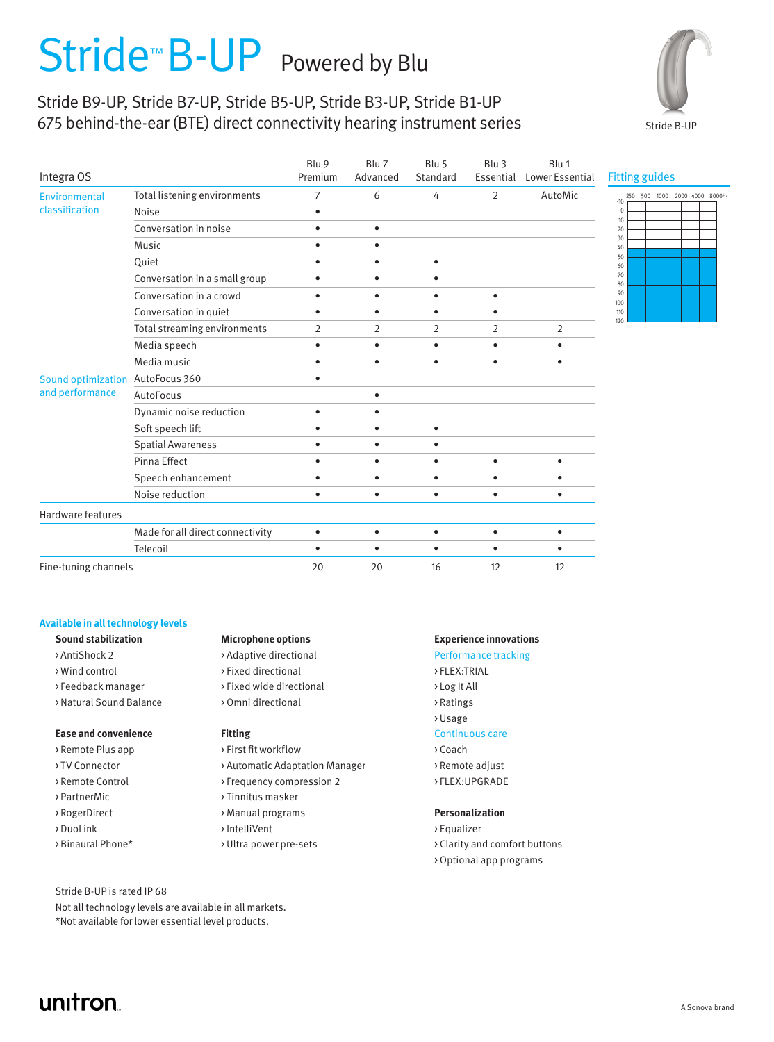# Stride<sup>™</sup> B-UP Powered by Blu

# Stride B9-UP, Stride B7-UP, Stride B5-UP, Stride B3-UP, Stride B1-UP 675 behind-the-ear (BTE) direct connectivity hearing instrument series



| Integra OS                            |                                  | Blu 9<br>Premium | Blu 7<br>Advanced | Blu 5<br>Standard | Blu <sub>3</sub><br>Essential | Blu 1<br>Lower Essential |
|---------------------------------------|----------------------------------|------------------|-------------------|-------------------|-------------------------------|--------------------------|
| Environmental<br>classification       | Total listening environments     | 7                | 6                 | 4                 | 2                             | AutoMic                  |
|                                       | Noise                            | $\bullet$        |                   |                   |                               |                          |
|                                       | Conversation in noise            | $\bullet$        | $\bullet$         |                   |                               |                          |
|                                       | Music                            | $\bullet$        | $\bullet$         |                   |                               |                          |
|                                       | Quiet                            | $\bullet$        | $\bullet$         | $\bullet$         |                               |                          |
|                                       | Conversation in a small group    | $\bullet$        | $\bullet$         | ٠                 |                               |                          |
|                                       | Conversation in a crowd          | $\bullet$        | $\bullet$         | $\bullet$         | $\bullet$                     |                          |
|                                       | Conversation in quiet            | $\bullet$        | $\bullet$         | ٠                 | ٠                             |                          |
|                                       | Total streaming environments     | 2                | $\overline{2}$    | $\overline{2}$    | 2                             | $\overline{2}$           |
|                                       | Media speech                     | $\bullet$        | $\bullet$         | $\bullet$         | ٠                             | $\bullet$                |
|                                       | Media music                      | $\bullet$        | $\bullet$         | ٠                 |                               | $\bullet$                |
| Sound optimization<br>and performance | AutoFocus 360                    | $\bullet$        |                   |                   |                               |                          |
|                                       | AutoFocus                        |                  | $\bullet$         |                   |                               |                          |
|                                       | Dynamic noise reduction          | $\bullet$        | ٠                 |                   |                               |                          |
|                                       | Soft speech lift                 | $\bullet$        | ٠                 | $\bullet$         |                               |                          |
|                                       | <b>Spatial Awareness</b>         | $\bullet$        | $\bullet$         | $\bullet$         |                               |                          |
|                                       | Pinna Effect                     | $\bullet$        | $\bullet$         | $\bullet$         | ٠                             | $\bullet$                |
|                                       | Speech enhancement               | $\bullet$        | $\bullet$         | $\bullet$         | $\bullet$                     | $\bullet$                |
|                                       | Noise reduction                  | $\bullet$        | $\bullet$         | $\bullet$         | ٠                             | $\bullet$                |
| Hardware features                     |                                  |                  |                   |                   |                               |                          |
|                                       | Made for all direct connectivity | $\bullet$        | $\bullet$         | $\bullet$         | $\bullet$                     | $\bullet$                |
|                                       | Telecoil                         | $\bullet$        | $\bullet$         | $\bullet$         | ٠                             | ٠                        |
| Fine-tuning channels                  |                                  | 20               | 20                | 16                | 12                            | 12                       |

## Fitting guides



## **Available in all technology levels**

- 
- 
- 
- 

### **Ease and convenience Fitting Fixting Continuous care**

- > Remote Plus app > First fit workflow > Coach
- 
- 
- 
- 
- 
- 

#### Stride B-UP is rated IP 68

Not all technology levels are available in all markets. \*Not available for lower essential level products.

#### **Sound stabilization Microphone options Experience innovations**

> AntiShock 2 > Adaptive directional Performance tracking > Wind control > Fixed directional > FLEX:TRIAL >Feedback manager > Fixed wide directional > Log It All > Natural Sound Balance > Omni directional > Ratings

- 
- > TV Connector > Automatic Adaptation Manager > Remote adjust
- > Remote Control > Frequency compression 2 > FLEX: UPGRADE
- > PartnerMic > Tinnitus masker
	-
- > DuoLink > IntelliVent > Equalizer
	-

- 
- 
- 
- 
- > Usage
- 
- 
- 
- 

#### > RogerDirect > Manual programs **Personalization**

- 
- > Binaural Phone\* >>>>>>>> Ultra power pre-sets >> Clarity and comfort buttons
	- > Optional app programs

unitron